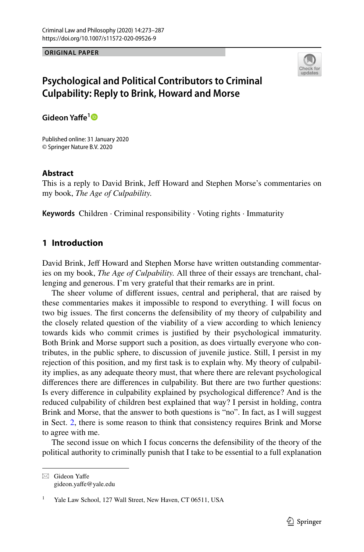**ORIGINAL PAPER**



# **Psychological and Political Contributors to Criminal Culpability: Reply to Brink, Howard and Morse**

**Gideon Yafe[1](http://orcid.org/0000-0002-9385-3912)**

Published online: 31 January 2020 © Springer Nature B.V. 2020

### **Abstract**

This is a reply to David Brink, Jeff Howard and Stephen Morse's commentaries on my book, *The Age of Culpability.*

**Keywords** Children · Criminal responsibility · Voting rights · Immaturity

## **1 Introduction**

David Brink, Jeff Howard and Stephen Morse have written outstanding commentaries on my book, *The Age of Culpability.* All three of their essays are trenchant, challenging and generous. I'm very grateful that their remarks are in print.

The sheer volume of diferent issues, central and peripheral, that are raised by these commentaries makes it impossible to respond to everything. I will focus on two big issues. The frst concerns the defensibility of my theory of culpability and the closely related question of the viability of a view according to which leniency towards kids who commit crimes is justifed by their psychological immaturity. Both Brink and Morse support such a position, as does virtually everyone who contributes, in the public sphere, to discussion of juvenile justice. Still, I persist in my rejection of this position, and my frst task is to explain why. My theory of culpability implies, as any adequate theory must, that where there are relevant psychological diferences there are diferences in culpability. But there are two further questions: Is every diference in culpability explained by psychological diference? And is the reduced culpability of children best explained that way? I persist in holding, contra Brink and Morse, that the answer to both questions is "no". In fact, as I will suggest in Sect. [2,](#page-1-0) there is some reason to think that consistency requires Brink and Morse to agree with me.

The second issue on which I focus concerns the defensibility of the theory of the political authority to criminally punish that I take to be essential to a full explanation

 $\boxtimes$  Gideon Yaffe gideon.yafe@yale.edu

Yale Law School, 127 Wall Street, New Haven, CT 06511, USA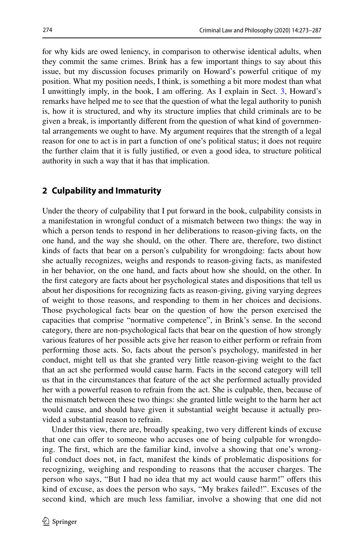for why kids are owed leniency, in comparison to otherwise identical adults, when they commit the same crimes. Brink has a few important things to say about this issue, but my discussion focuses primarily on Howard's powerful critique of my position. What my position needs, I think, is something a bit more modest than what I unwittingly imply, in the book, I am offering. As I explain in Sect. [3,](#page-10-0) Howard's remarks have helped me to see that the question of what the legal authority to punish is, how it is structured, and why its structure implies that child criminals are to be given a break, is importantly diferent from the question of what kind of governmental arrangements we ought to have. My argument requires that the strength of a legal reason for one to act is in part a function of one's political status; it does not require the further claim that it is fully justifed, or even a good idea, to structure political authority in such a way that it has that implication.

## <span id="page-1-0"></span>**2 Culpability and Immaturity**

Under the theory of culpability that I put forward in the book, culpability consists in a manifestation in wrongful conduct of a mismatch between two things: the way in which a person tends to respond in her deliberations to reason-giving facts, on the one hand, and the way she should, on the other. There are, therefore, two distinct kinds of facts that bear on a person's culpability for wrongdoing: facts about how she actually recognizes, weighs and responds to reason-giving facts, as manifested in her behavior, on the one hand, and facts about how she should, on the other. In the frst category are facts about her psychological states and dispositions that tell us about her dispositions for recognizing facts as reason-giving, giving varying degrees of weight to those reasons, and responding to them in her choices and decisions. Those psychological facts bear on the question of how the person exercised the capacities that comprise "normative competence", in Brink's sense. In the second category, there are non-psychological facts that bear on the question of how strongly various features of her possible acts give her reason to either perform or refrain from performing those acts. So, facts about the person's psychology, manifested in her conduct, might tell us that she granted very little reason-giving weight to the fact that an act she performed would cause harm. Facts in the second category will tell us that in the circumstances that feature of the act she performed actually provided her with a powerful reason to refrain from the act. She is culpable, then, because of the mismatch between these two things: she granted little weight to the harm her act would cause, and should have given it substantial weight because it actually provided a substantial reason to refrain.

Under this view, there are, broadly speaking, two very diferent kinds of excuse that one can offer to someone who accuses one of being culpable for wrongdoing. The frst, which are the familiar kind, involve a showing that one's wrongful conduct does not, in fact, manifest the kinds of problematic dispositions for recognizing, weighing and responding to reasons that the accuser charges. The person who says, "But I had no idea that my act would cause harm!" offers this kind of excuse, as does the person who says, "My brakes failed!". Excuses of the second kind, which are much less familiar, involve a showing that one did not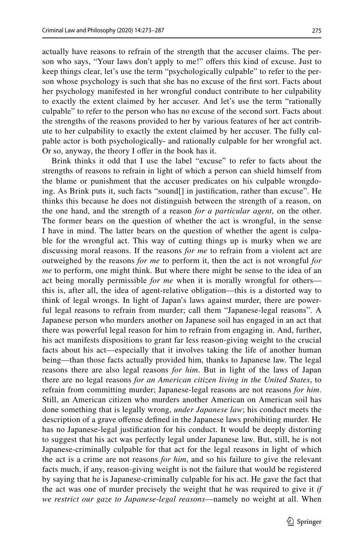actually have reasons to refrain of the strength that the accuser claims. The person who says, "Your laws don't apply to me!" offers this kind of excuse. Just to keep things clear, let's use the term "psychologically culpable" to refer to the person whose psychology is such that she has no excuse of the frst sort. Facts about her psychology manifested in her wrongful conduct contribute to her culpability to exactly the extent claimed by her accuser. And let's use the term "rationally culpable" to refer to the person who has no excuse of the second sort. Facts about the strengths of the reasons provided to her by various features of her act contribute to her culpability to exactly the extent claimed by her accuser. The fully culpable actor is both psychologically- and rationally culpable for her wrongful act. Or so, anyway, the theory I offer in the book has it.

Brink thinks it odd that I use the label "excuse" to refer to facts about the strengths of reasons to refrain in light of which a person can shield himself from the blame or punishment that the accuser predicates on his culpable wrongdoing. As Brink puts it, such facts "sound[] in justifcation, rather than excuse". He thinks this because he does not distinguish between the strength of a reason, on the one hand, and the strength of a reason *for a particular agent*, on the other. The former bears on the question of whether the act is wrongful, in the sense I have in mind. The latter bears on the question of whether the agent is culpable for the wrongful act. This way of cutting things up is murky when we are discussing moral reasons. If the reasons *for me* to refrain from a violent act are outweighed by the reasons *for me* to perform it, then the act is not wrongful *for me* to perform, one might think. But where there might be sense to the idea of an act being morally permissible *for me* when it is morally wrongful for others this is, after all, the idea of agent-relative obligation—this is a distorted way to think of legal wrongs. In light of Japan's laws against murder, there are powerful legal reasons to refrain from murder; call them "Japanese-legal reasons". A Japanese person who murders another on Japanese soil has engaged in an act that there was powerful legal reason for him to refrain from engaging in. And, further, his act manifests dispositions to grant far less reason-giving weight to the crucial facts about his act—especially that it involves taking the life of another human being—than those facts actually provided him, thanks to Japanese law. The legal reasons there are also legal reasons *for him*. But in light of the laws of Japan there are no legal reasons *for an American citizen living in the United States*, to refrain from committing murder; Japanese-legal reasons are not reasons *for him*. Still, an American citizen who murders another American on American soil has done something that is legally wrong, *under Japanese law*; his conduct meets the description of a grave ofense defned in the Japanese laws prohibiting murder. He has no Japanese-legal justifcation for his conduct. It would be deeply distorting to suggest that his act was perfectly legal under Japanese law. But, still, he is not Japanese-criminally culpable for that act for the legal reasons in light of which the act is a crime are not reasons *for him*, and so his failure to give the relevant facts much, if any, reason-giving weight is not the failure that would be registered by saying that he is Japanese-criminally culpable for his act. He gave the fact that the act was one of murder precisely the weight that he was required to give it *if we restrict our gaze to Japanese*-*legal reasons*—namely no weight at all. When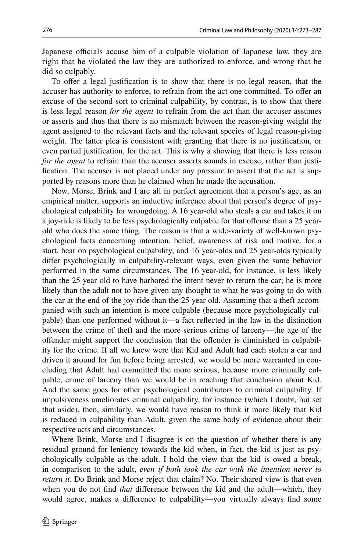Japanese officials accuse him of a culpable violation of Japanese law, they are right that he violated the law they are authorized to enforce, and wrong that he did so culpably.

To offer a legal justification is to show that there is no legal reason, that the accuser has authority to enforce, to refrain from the act one committed. To offer an excuse of the second sort to criminal culpability, by contrast, is to show that there is less legal reason *for the agent* to refrain from the act than the accuser assumes or asserts and thus that there is no mismatch between the reason-giving weight the agent assigned to the relevant facts and the relevant species of legal reason-giving weight. The latter plea is consistent with granting that there is no justifcation, or even partial justifcation, for the act. This is why a showing that there is less reason *for the agent* to refrain than the accuser asserts sounds in excuse, rather than justifcation. The accuser is not placed under any pressure to assert that the act is supported by reasons more than he claimed when he made the accusation.

Now, Morse, Brink and I are all in perfect agreement that a person's age, as an empirical matter, supports an inductive inference about that person's degree of psychological culpability for wrongdoing. A 16 year-old who steals a car and takes it on a joy-ride is likely to be less psychologically culpable for that ofense than a 25 yearold who does the same thing. The reason is that a wide-variety of well-known psychological facts concerning intention, belief, awareness of risk and motive, for a start, bear on psychological culpability, and 16 year-olds and 25 year-olds typically difer psychologically in culpability-relevant ways, even given the same behavior performed in the same circumstances. The 16 year-old, for instance, is less likely than the 25 year old to have harbored the intent never to return the car; he is more likely than the adult not to have given any thought to what he was going to do with the car at the end of the joy-ride than the 25 year old. Assuming that a theft accompanied with such an intention is more culpable (because more psychologically culpable) than one performed without it—a fact refected in the law in the distinction between the crime of theft and the more serious crime of larceny—the age of the ofender might support the conclusion that the ofender is diminished in culpability for the crime. If all we knew were that Kid and Adult had each stolen a car and driven it around for fun before being arrested, we would be more warranted in concluding that Adult had committed the more serious, because more criminally culpable, crime of larceny than we would be in reaching that conclusion about Kid. And the same goes for other psychological contributors to criminal culpability. If impulsiveness ameliorates criminal culpability, for instance (which I doubt, but set that aside), then, similarly, we would have reason to think it more likely that Kid is reduced in culpability than Adult, given the same body of evidence about their respective acts and circumstances.

Where Brink, Morse and I disagree is on the question of whether there is any residual ground for leniency towards the kid when, in fact, the kid is just as psychologically culpable as the adult. I hold the view that the kid is owed a break, in comparison to the adult, *even if both took the car with the intention never to return it.* Do Brink and Morse reject that claim? No. Their shared view is that even when you do not fnd *that* diference between the kid and the adult—which, they would agree, makes a diference to culpability—you virtually always fnd some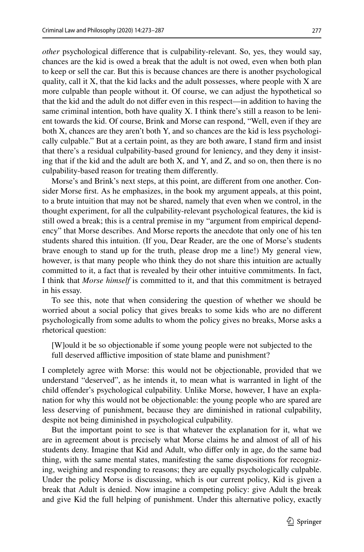*other* psychological diference that is culpability-relevant. So, yes, they would say, chances are the kid is owed a break that the adult is not owed, even when both plan to keep or sell the car. But this is because chances are there is another psychological quality, call it  $X$ , that the kid lacks and the adult possesses, where people with  $X$  are more culpable than people without it. Of course, we can adjust the hypothetical so that the kid and the adult do not difer even in this respect—in addition to having the same criminal intention, both have quality X. I think there's still a reason to be lenient towards the kid. Of course, Brink and Morse can respond, "Well, even if they are both X, chances are they aren't both Y, and so chances are the kid is less psychologically culpable." But at a certain point, as they are both aware, I stand frm and insist that there's a residual culpability-based ground for leniency, and they deny it insisting that if the kid and the adult are both X, and Y, and Z, and so on, then there is no culpability-based reason for treating them diferently.

Morse's and Brink's next steps, at this point, are diferent from one another. Consider Morse frst. As he emphasizes, in the book my argument appeals, at this point, to a brute intuition that may not be shared, namely that even when we control, in the thought experiment, for all the culpability-relevant psychological features, the kid is still owed a break; this is a central premise in my "argument from empirical dependency" that Morse describes. And Morse reports the anecdote that only one of his ten students shared this intuition. (If you, Dear Reader, are the one of Morse's students brave enough to stand up for the truth, please drop me a line!) My general view, however, is that many people who think they do not share this intuition are actually committed to it, a fact that is revealed by their other intuitive commitments. In fact, I think that *Morse himself* is committed to it, and that this commitment is betrayed in his essay.

To see this, note that when considering the question of whether we should be worried about a social policy that gives breaks to some kids who are no diferent psychologically from some adults to whom the policy gives no breaks, Morse asks a rhetorical question:

[W]ould it be so objectionable if some young people were not subjected to the full deserved afflictive imposition of state blame and punishment?

I completely agree with Morse: this would not be objectionable, provided that we understand "deserved", as he intends it, to mean what is warranted in light of the child ofender's psychological culpability. Unlike Morse, however, I have an explanation for why this would not be objectionable: the young people who are spared are less deserving of punishment, because they are diminished in rational culpability, despite not being diminished in psychological culpability.

But the important point to see is that whatever the explanation for it, what we are in agreement about is precisely what Morse claims he and almost of all of his students deny. Imagine that Kid and Adult, who difer only in age, do the same bad thing, with the same mental states, manifesting the same dispositions for recognizing, weighing and responding to reasons; they are equally psychologically culpable. Under the policy Morse is discussing, which is our current policy, Kid is given a break that Adult is denied. Now imagine a competing policy: give Adult the break and give Kid the full helping of punishment. Under this alternative policy, exactly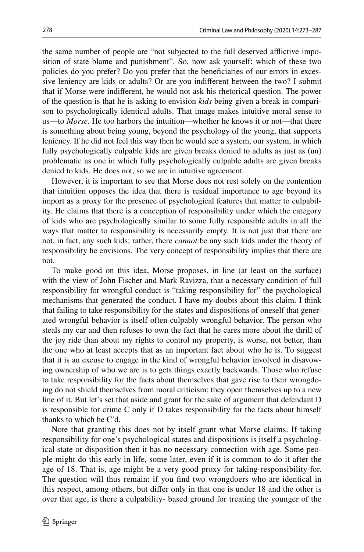the same number of people are "not subjected to the full deserved afflictive imposition of state blame and punishment". So, now ask yourself: which of these two policies do you prefer? Do you prefer that the benefciaries of our errors in excessive leniency are kids or adults? Or are you indiferent between the two? I submit that if Morse were indiferent, he would not ask his rhetorical question. The power of the question is that he is asking to envision *kids* being given a break in comparison to psychologically identical adults. That image makes intuitive moral sense to us—to *Morse*. He too harbors the intuition—whether he knows it or not—that there is something about being young, beyond the psychology of the young, that supports leniency. If he did not feel this way then he would see a system, our system, in which fully psychologically culpable kids are given breaks denied to adults as just as (un) problematic as one in which fully psychologically culpable adults are given breaks denied to kids. He does not, so we are in intuitive agreement.

However, it is important to see that Morse does not rest solely on the contention that intuition opposes the idea that there is residual importance to age beyond its import as a proxy for the presence of psychological features that matter to culpability. He claims that there is a conception of responsibility under which the category of kids who are psychologically similar to some fully responsible adults in all the ways that matter to responsibility is necessarily empty. It is not just that there are not, in fact, any such kids; rather, there *cannot* be any such kids under the theory of responsibility he envisions. The very concept of responsibility implies that there are not.

To make good on this idea, Morse proposes, in line (at least on the surface) with the view of John Fischer and Mark Ravizza, that a necessary condition of full responsibility for wrongful conduct is "taking responsibility for" the psychological mechanisms that generated the conduct. I have my doubts about this claim. I think that failing to take responsibility for the states and dispositions of oneself that generated wrongful behavior is itself often culpably wrongful behavior. The person who steals my car and then refuses to own the fact that he cares more about the thrill of the joy ride than about my rights to control my property, is worse, not better, than the one who at least accepts that as an important fact about who he is. To suggest that it is an excuse to engage in the kind of wrongful behavior involved in disavowing ownership of who we are is to gets things exactly backwards. Those who refuse to take responsibility for the facts about themselves that gave rise to their wrongdoing do not shield themselves from moral criticism; they open themselves up to a new line of it. But let's set that aside and grant for the sake of argument that defendant D is responsible for crime C only if D takes responsibility for the facts about himself thanks to which he C'd.

Note that granting this does not by itself grant what Morse claims. If taking responsibility for one's psychological states and dispositions is itself a psychological state or disposition then it has no necessary connection with age. Some people might do this early in life, some later, even if it is common to do it after the age of 18. That is, age might be a very good proxy for taking-responsibility-for. The question will thus remain: if you fnd two wrongdoers who are identical in this respect, among others, but difer only in that one is under 18 and the other is over that age, is there a culpability- based ground for treating the younger of the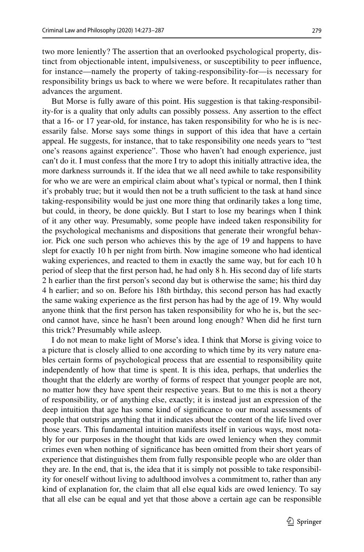two more leniently? The assertion that an overlooked psychological property, distinct from objectionable intent, impulsiveness, or susceptibility to peer infuence, for instance—namely the property of taking-responsibility-for—is necessary for responsibility brings us back to where we were before. It recapitulates rather than advances the argument.

But Morse is fully aware of this point. His suggestion is that taking-responsibility-for is a quality that only adults can possibly possess. Any assertion to the efect that a 16- or 17 year-old, for instance, has taken responsibility for who he is is necessarily false. Morse says some things in support of this idea that have a certain appeal. He suggests, for instance, that to take responsibility one needs years to "test one's reasons against experience". Those who haven't had enough experience, just can't do it. I must confess that the more I try to adopt this initially attractive idea, the more darkness surrounds it. If the idea that we all need awhile to take responsibility for who we are were an empirical claim about what's typical or normal, then I think it's probably true; but it would then not be a truth sufficient to the task at hand since taking-responsibility would be just one more thing that ordinarily takes a long time, but could, in theory, be done quickly. But I start to lose my bearings when I think of it any other way. Presumably, some people have indeed taken responsibility for the psychological mechanisms and dispositions that generate their wrongful behavior. Pick one such person who achieves this by the age of 19 and happens to have slept for exactly 10 h per night from birth. Now imagine someone who had identical waking experiences, and reacted to them in exactly the same way, but for each 10 h period of sleep that the frst person had, he had only 8 h. His second day of life starts 2 h earlier than the frst person's second day but is otherwise the same; his third day 4 h earlier; and so on. Before his 18th birthday, this second person has had exactly the same waking experience as the frst person has had by the age of 19. Why would anyone think that the frst person has taken responsibility for who he is, but the second cannot have, since he hasn't been around long enough? When did he frst turn this trick? Presumably while asleep.

I do not mean to make light of Morse's idea. I think that Morse is giving voice to a picture that is closely allied to one according to which time by its very nature enables certain forms of psychological process that are essential to responsibility quite independently of how that time is spent. It is this idea, perhaps, that underlies the thought that the elderly are worthy of forms of respect that younger people are not, no matter how they have spent their respective years. But to me this is not a theory of responsibility, or of anything else, exactly; it is instead just an expression of the deep intuition that age has some kind of signifcance to our moral assessments of people that outstrips anything that it indicates about the content of the life lived over those years. This fundamental intuition manifests itself in various ways, most notably for our purposes in the thought that kids are owed leniency when they commit crimes even when nothing of signifcance has been omitted from their short years of experience that distinguishes them from fully responsible people who are older than they are. In the end, that is, the idea that it is simply not possible to take responsibility for oneself without living to adulthood involves a commitment to, rather than any kind of explanation for, the claim that all else equal kids are owed leniency. To say that all else can be equal and yet that those above a certain age can be responsible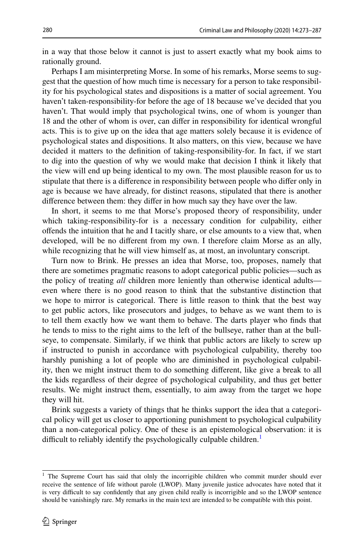in a way that those below it cannot is just to assert exactly what my book aims to rationally ground.

Perhaps I am misinterpreting Morse. In some of his remarks, Morse seems to suggest that the question of how much time is necessary for a person to take responsibility for his psychological states and dispositions is a matter of social agreement. You haven't taken-responsibility-for before the age of 18 because we've decided that you haven't. That would imply that psychological twins, one of whom is younger than 18 and the other of whom is over, can difer in responsibility for identical wrongful acts. This is to give up on the idea that age matters solely because it is evidence of psychological states and dispositions. It also matters, on this view, because we have decided it matters to the defnition of taking-responsibility-for. In fact, if we start to dig into the question of why we would make that decision I think it likely that the view will end up being identical to my own. The most plausible reason for us to stipulate that there is a diference in responsibility between people who difer only in age is because we have already, for distinct reasons, stipulated that there is another diference between them: they difer in how much say they have over the law.

In short, it seems to me that Morse's proposed theory of responsibility, under which taking-responsibility-for is a necessary condition for culpability, either ofends the intuition that he and I tacitly share, or else amounts to a view that, when developed, will be no diferent from my own. I therefore claim Morse as an ally, while recognizing that he will view himself as, at most, an involuntary conscript.

Turn now to Brink. He presses an idea that Morse, too, proposes, namely that there are sometimes pragmatic reasons to adopt categorical public policies—such as the policy of treating *all* children more leniently than otherwise identical adults even where there is no good reason to think that the substantive distinction that we hope to mirror is categorical. There is little reason to think that the best way to get public actors, like prosecutors and judges, to behave as we want them to is to tell them exactly how we want them to behave. The darts player who fnds that he tends to miss to the right aims to the left of the bullseye, rather than at the bullseye, to compensate. Similarly, if we think that public actors are likely to screw up if instructed to punish in accordance with psychological culpability, thereby too harshly punishing a lot of people who are diminished in psychological culpability, then we might instruct them to do something diferent, like give a break to all the kids regardless of their degree of psychological culpability, and thus get better results. We might instruct them, essentially, to aim away from the target we hope they will hit.

Brink suggests a variety of things that he thinks support the idea that a categorical policy will get us closer to apportioning punishment to psychological culpability than a non-categorical policy. One of these is an epistemological observation: it is difficult to reliably identify the psychologically culpable children.<sup>[1](#page-7-0)</sup>

<span id="page-7-0"></span><sup>&</sup>lt;sup>1</sup> The Supreme Court has said that olnly the incorrigible children who commit murder should ever receive the sentence of life without parole (LWOP). Many juvenile justice advocates have noted that it is very difficult to say confidently that any given child really is incorrigible and so the LWOP sentence should be vanishingly rare. My remarks in the main text are intended to be compatible with this point.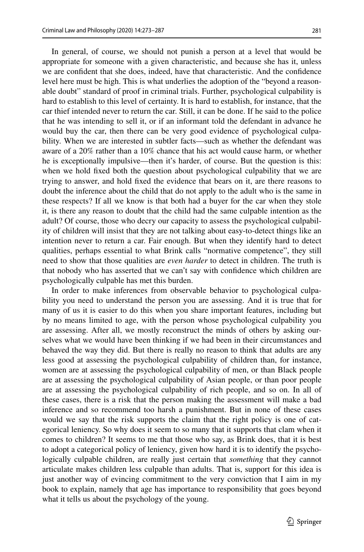In general, of course, we should not punish a person at a level that would be appropriate for someone with a given characteristic, and because she has it, unless we are confdent that she does, indeed, have that characteristic. And the confdence level here must be high. This is what underlies the adoption of the "beyond a reasonable doubt" standard of proof in criminal trials. Further, psychological culpability is hard to establish to this level of certainty. It is hard to establish, for instance, that the car thief intended never to return the car. Still, it can be done. If he said to the police that he was intending to sell it, or if an informant told the defendant in advance he would buy the car, then there can be very good evidence of psychological culpability. When we are interested in subtler facts—such as whether the defendant was aware of a 20% rather than a 10% chance that his act would cause harm, or whether he is exceptionally impulsive—then it's harder, of course. But the question is this: when we hold fxed both the question about psychological culpability that we are trying to answer, and hold fxed the evidence that bears on it, are there reasons to doubt the inference about the child that do not apply to the adult who is the same in these respects? If all we know is that both had a buyer for the car when they stole it, is there any reason to doubt that the child had the same culpable intention as the adult? Of course, those who decry our capacity to assess the psychological culpability of children will insist that they are not talking about easy-to-detect things like an intention never to return a car. Fair enough. But when they identify hard to detect qualities, perhaps essential to what Brink calls "normative competence", they still need to show that those qualities are *even harder* to detect in children. The truth is that nobody who has asserted that we can't say with confdence which children are psychologically culpable has met this burden.

In order to make inferences from observable behavior to psychological culpability you need to understand the person you are assessing. And it is true that for many of us it is easier to do this when you share important features, including but by no means limited to age, with the person whose psychological culpability you are assessing. After all, we mostly reconstruct the minds of others by asking ourselves what we would have been thinking if we had been in their circumstances and behaved the way they did. But there is really no reason to think that adults are any less good at assessing the psychological culpability of children than, for instance, women are at assessing the psychological culpability of men, or than Black people are at assessing the psychological culpability of Asian people, or than poor people are at assessing the psychological culpability of rich people, and so on. In all of these cases, there is a risk that the person making the assessment will make a bad inference and so recommend too harsh a punishment. But in none of these cases would we say that the risk supports the claim that the right policy is one of categorical leniency. So why does it seem to so many that it supports that clam when it comes to children? It seems to me that those who say, as Brink does, that it is best to adopt a categorical policy of leniency, given how hard it is to identify the psychologically culpable children, are really just certain that *something* that they cannot articulate makes children less culpable than adults. That is, support for this idea is just another way of evincing commitment to the very conviction that I aim in my book to explain, namely that age has importance to responsibility that goes beyond what it tells us about the psychology of the young.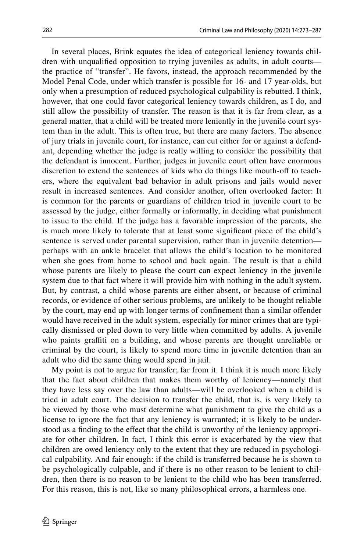In several places, Brink equates the idea of categorical leniency towards children with unqualifed opposition to trying juveniles as adults, in adult courts the practice of "transfer". He favors, instead, the approach recommended by the Model Penal Code, under which transfer is possible for 16- and 17 year-olds, but only when a presumption of reduced psychological culpability is rebutted. I think, however, that one could favor categorical leniency towards children, as I do, and still allow the possibility of transfer. The reason is that it is far from clear, as a general matter, that a child will be treated more leniently in the juvenile court system than in the adult. This is often true, but there are many factors. The absence of jury trials in juvenile court, for instance, can cut either for or against a defendant, depending whether the judge is really willing to consider the possibility that the defendant is innocent. Further, judges in juvenile court often have enormous discretion to extend the sentences of kids who do things like mouth-off to teachers, where the equivalent bad behavior in adult prisons and jails would never result in increased sentences. And consider another, often overlooked factor: It is common for the parents or guardians of children tried in juvenile court to be assessed by the judge, either formally or informally, in deciding what punishment to issue to the child. If the judge has a favorable impression of the parents, she is much more likely to tolerate that at least some signifcant piece of the child's sentence is served under parental supervision, rather than in juvenile detention perhaps with an ankle bracelet that allows the child's location to be monitored when she goes from home to school and back again. The result is that a child whose parents are likely to please the court can expect leniency in the juvenile system due to that fact where it will provide him with nothing in the adult system. But, by contrast, a child whose parents are either absent, or because of criminal records, or evidence of other serious problems, are unlikely to be thought reliable by the court, may end up with longer terms of confnement than a similar ofender would have received in the adult system, especially for minor crimes that are typically dismissed or pled down to very little when committed by adults. A juvenile who paints graffiti on a building, and whose parents are thought unreliable or criminal by the court, is likely to spend more time in juvenile detention than an adult who did the same thing would spend in jail.

My point is not to argue for transfer; far from it. I think it is much more likely that the fact about children that makes them worthy of leniency—namely that they have less say over the law than adults—will be overlooked when a child is tried in adult court. The decision to transfer the child, that is, is very likely to be viewed by those who must determine what punishment to give the child as a license to ignore the fact that any leniency is warranted; it is likely to be understood as a fnding to the efect that the child is unworthy of the leniency appropriate for other children. In fact, I think this error is exacerbated by the view that children are owed leniency only to the extent that they are reduced in psychological culpability. And fair enough: if the child is transferred because he is shown to be psychologically culpable, and if there is no other reason to be lenient to children, then there is no reason to be lenient to the child who has been transferred. For this reason, this is not, like so many philosophical errors, a harmless one.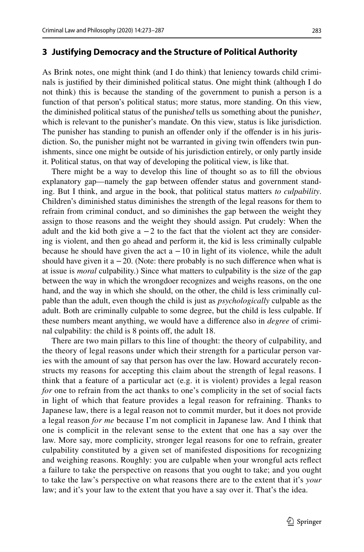#### <span id="page-10-0"></span>**3 Justifying Democracy and the Structure of Political Authority**

As Brink notes, one might think (and I do think) that leniency towards child criminals is justifed by their diminished political status. One might think (although I do not think) this is because the standing of the government to punish a person is a function of that person's political status; more status, more standing. On this view, the diminished political status of the punish*ed* tells us something about the punish*er*, which is relevant to the punisher's mandate. On this view, status is like jurisdiction. The punisher has standing to punish an ofender only if the ofender is in his jurisdiction. So, the punisher might not be warranted in giving twin ofenders twin punishments, since one might be outside of his jurisdiction entirely, or only partly inside it. Political status, on that way of developing the political view, is like that.

There might be a way to develop this line of thought so as to fll the obvious explanatory gap—namely the gap between ofender status and government standing. But I think, and argue in the book, that political status matters *to culpability*. Children's diminished status diminishes the strength of the legal reasons for them to refrain from criminal conduct, and so diminishes the gap between the weight they assign to those reasons and the weight they should assign. Put crudely: When the adult and the kid both give a  $-2$  to the fact that the violent act they are considering is violent, and then go ahead and perform it, the kid is less criminally culpable because he should have given the act  $a - 10$  in light of its violence, while the adult should have given it a  $-20$ . (Note: there probably is no such difference when what is at issue is *moral* culpability.) Since what matters to culpability is the size of the gap between the way in which the wrongdoer recognizes and weighs reasons, on the one hand, and the way in which she should, on the other, the child is less criminally culpable than the adult, even though the child is just as *psychologically* culpable as the adult. Both are criminally culpable to some degree, but the child is less culpable. If these numbers meant anything, we would have a diference also in *degree* of criminal culpability: the child is 8 points off, the adult 18.

There are two main pillars to this line of thought: the theory of culpability, and the theory of legal reasons under which their strength for a particular person varies with the amount of say that person has over the law. Howard accurately reconstructs my reasons for accepting this claim about the strength of legal reasons. I think that a feature of a particular act (e.g. it is violent) provides a legal reason *for* one to refrain from the act thanks to one's complicity in the set of social facts in light of which that feature provides a legal reason for refraining. Thanks to Japanese law, there is a legal reason not to commit murder, but it does not provide a legal reason *for me* because I'm not complicit in Japanese law. And I think that one is complicit in the relevant sense to the extent that one has a say over the law. More say, more complicity, stronger legal reasons for one to refrain, greater culpability constituted by a given set of manifested dispositions for recognizing and weighing reasons. Roughly: you are culpable when your wrongful acts refect a failure to take the perspective on reasons that you ought to take; and you ought to take the law's perspective on what reasons there are to the extent that it's *your* law; and it's your law to the extent that you have a say over it. That's the idea.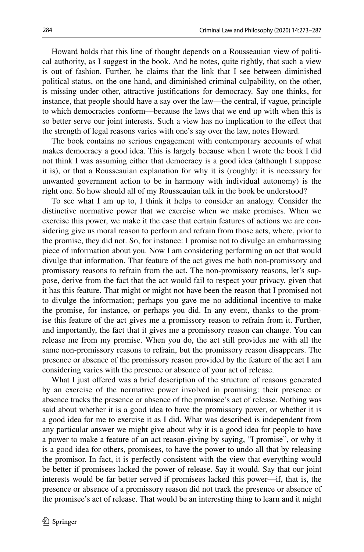Howard holds that this line of thought depends on a Rousseauian view of political authority, as I suggest in the book. And he notes, quite rightly, that such a view is out of fashion. Further, he claims that the link that I see between diminished political status, on the one hand, and diminished criminal culpability, on the other, is missing under other, attractive justifcations for democracy. Say one thinks, for instance, that people should have a say over the law—the central, if vague, principle to which democracies conform—because the laws that we end up with when this is so better serve our joint interests. Such a view has no implication to the efect that the strength of legal reasons varies with one's say over the law, notes Howard.

The book contains no serious engagement with contemporary accounts of what makes democracy a good idea. This is largely because when I wrote the book I did not think I was assuming either that democracy is a good idea (although I suppose it is), or that a Rousseauian explanation for why it is (roughly: it is necessary for unwanted government action to be in harmony with individual autonomy) is the right one. So how should all of my Rousseauian talk in the book be understood?

To see what I am up to, I think it helps to consider an analogy. Consider the distinctive normative power that we exercise when we make promises. When we exercise this power, we make it the case that certain features of actions we are considering give us moral reason to perform and refrain from those acts, where, prior to the promise, they did not. So, for instance: I promise not to divulge an embarrassing piece of information about you. Now I am considering performing an act that would divulge that information. That feature of the act gives me both non-promissory and promissory reasons to refrain from the act. The non-promissory reasons, let's suppose, derive from the fact that the act would fail to respect your privacy, given that it has this feature. That might or might not have been the reason that I promised not to divulge the information; perhaps you gave me no additional incentive to make the promise, for instance, or perhaps you did. In any event, thanks to the promise this feature of the act gives me a promissory reason to refrain from it. Further, and importantly, the fact that it gives me a promissory reason can change. You can release me from my promise. When you do, the act still provides me with all the same non-promissory reasons to refrain, but the promissory reason disappears. The presence or absence of the promissory reason provided by the feature of the act I am considering varies with the presence or absence of your act of release.

What I just offered was a brief description of the structure of reasons generated by an exercise of the normative power involved in promising: their presence or absence tracks the presence or absence of the promisee's act of release. Nothing was said about whether it is a good idea to have the promissory power, or whether it is a good idea for me to exercise it as I did. What was described is independent from any particular answer we might give about why it is a good idea for people to have a power to make a feature of an act reason-giving by saying, "I promise", or why it is a good idea for others, promisees, to have the power to undo all that by releasing the promisor. In fact, it is perfectly consistent with the view that everything would be better if promisees lacked the power of release. Say it would. Say that our joint interests would be far better served if promisees lacked this power—if, that is, the presence or absence of a promissory reason did not track the presence or absence of the promisee's act of release. That would be an interesting thing to learn and it might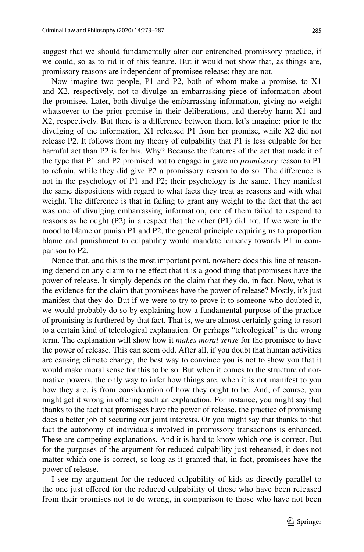suggest that we should fundamentally alter our entrenched promissory practice, if we could, so as to rid it of this feature. But it would not show that, as things are, promissory reasons are independent of promisee release; they are not.

Now imagine two people, P1 and P2, both of whom make a promise, to X1 and X2, respectively, not to divulge an embarrassing piece of information about the promisee. Later, both divulge the embarrassing information, giving no weight whatsoever to the prior promise in their deliberations, and thereby harm X1 and X2, respectively. But there is a diference between them, let's imagine: prior to the divulging of the information, X1 released P1 from her promise, while X2 did not release P2. It follows from my theory of culpability that P1 is less culpable for her harmful act than P2 is for his. Why? Because the features of the act that made it of the type that P1 and P2 promised not to engage in gave no *promissory* reason to P1 to refrain, while they did give P2 a promissory reason to do so. The diference is not in the psychology of P1 and P2; their psychology is the same. They manifest the same dispositions with regard to what facts they treat as reasons and with what weight. The diference is that in failing to grant any weight to the fact that the act was one of divulging embarrassing information, one of them failed to respond to reasons as he ought (P2) in a respect that the other (P1) did not. If we were in the mood to blame or punish P1 and P2, the general principle requiring us to proportion blame and punishment to culpability would mandate leniency towards P1 in comparison to P2.

Notice that, and this is the most important point, nowhere does this line of reasoning depend on any claim to the efect that it is a good thing that promisees have the power of release. It simply depends on the claim that they do, in fact. Now, what is the evidence for the claim that promisees have the power of release? Mostly, it's just manifest that they do. But if we were to try to prove it to someone who doubted it, we would probably do so by explaining how a fundamental purpose of the practice of promising is furthered by that fact. That is, we are almost certainly going to resort to a certain kind of teleological explanation. Or perhaps "teleological" is the wrong term. The explanation will show how it *makes moral sense* for the promisee to have the power of release. This can seem odd. After all, if you doubt that human activities are causing climate change, the best way to convince you is not to show you that it would make moral sense for this to be so. But when it comes to the structure of normative powers, the only way to infer how things are, when it is not manifest to you how they are, is from consideration of how they ought to be. And, of course, you might get it wrong in ofering such an explanation. For instance, you might say that thanks to the fact that promisees have the power of release, the practice of promising does a better job of securing our joint interests. Or you might say that thanks to that fact the autonomy of individuals involved in promissory transactions is enhanced. These are competing explanations. And it is hard to know which one is correct. But for the purposes of the argument for reduced culpability just rehearsed, it does not matter which one is correct, so long as it granted that, in fact, promisees have the power of release.

I see my argument for the reduced culpability of kids as directly parallel to the one just ofered for the reduced culpability of those who have been released from their promises not to do wrong, in comparison to those who have not been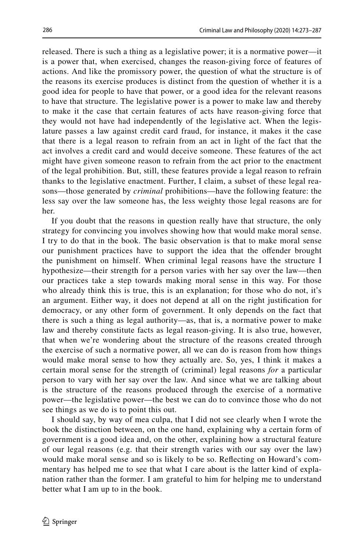released. There is such a thing as a legislative power; it is a normative power—it is a power that, when exercised, changes the reason-giving force of features of actions. And like the promissory power, the question of what the structure is of the reasons its exercise produces is distinct from the question of whether it is a good idea for people to have that power, or a good idea for the relevant reasons to have that structure. The legislative power is a power to make law and thereby to make it the case that certain features of acts have reason-giving force that they would not have had independently of the legislative act. When the legislature passes a law against credit card fraud, for instance, it makes it the case that there is a legal reason to refrain from an act in light of the fact that the act involves a credit card and would deceive someone. These features of the act might have given someone reason to refrain from the act prior to the enactment of the legal prohibition. But, still, these features provide a legal reason to refrain thanks to the legislative enactment. Further, I claim, a subset of these legal reasons—those generated by *criminal* prohibitions—have the following feature: the less say over the law someone has, the less weighty those legal reasons are for her.

If you doubt that the reasons in question really have that structure, the only strategy for convincing you involves showing how that would make moral sense. I try to do that in the book. The basic observation is that to make moral sense our punishment practices have to support the idea that the ofender brought the punishment on himself. When criminal legal reasons have the structure I hypothesize—their strength for a person varies with her say over the law—then our practices take a step towards making moral sense in this way. For those who already think this is true, this is an explanation; for those who do not, it's an argument. Either way, it does not depend at all on the right justifcation for democracy, or any other form of government. It only depends on the fact that there is such a thing as legal authority—as, that is, a normative power to make law and thereby constitute facts as legal reason-giving. It is also true, however, that when we're wondering about the structure of the reasons created through the exercise of such a normative power, all we can do is reason from how things would make moral sense to how they actually are. So, yes, I think it makes a certain moral sense for the strength of (criminal) legal reasons *for* a particular person to vary with her say over the law. And since what we are talking about is the structure of the reasons produced through the exercise of a normative power—the legislative power—the best we can do to convince those who do not see things as we do is to point this out.

I should say, by way of mea culpa, that I did not see clearly when I wrote the book the distinction between, on the one hand, explaining why a certain form of government is a good idea and, on the other, explaining how a structural feature of our legal reasons (e.g. that their strength varies with our say over the law) would make moral sense and so is likely to be so. Refecting on Howard's commentary has helped me to see that what I care about is the latter kind of explanation rather than the former. I am grateful to him for helping me to understand better what I am up to in the book.